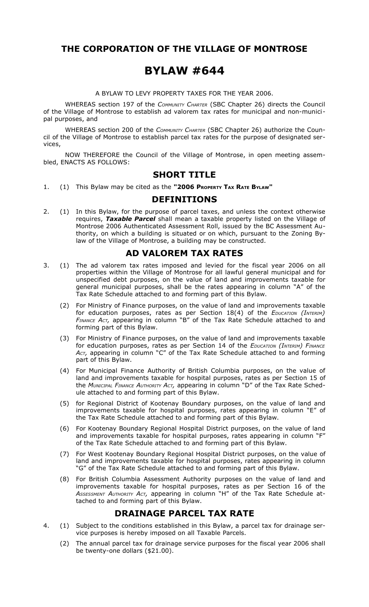### **THE CORPORATION OF THE VILLAGE OF MONTROSE**

# **BYLAW #644**

A BYLAW TO LEVY PROPERTY TAXES FOR THE YEAR 2006.

WHEREAS section 197 of the *COMMUNITY CHARTER* (SBC Chapter 26) directs the Council of the Village of Montrose to establish ad valorem tax rates for municipal and non-municipal purposes, and

WHEREAS section 200 of the *COMMUNITY CHARTER* (SBC Chapter 26) authorize the Council of the Village of Montrose to establish parcel tax rates for the purpose of designated services,

NOW THEREFORE the Council of the Village of Montrose, in open meeting assembled, ENACTS AS FOLLOWS:

#### **SHORT TITLE**

1. (1) This Bylaw may be cited as the **"2006 PROPERTY TAX RATE BYLAW"**

#### **DEFINITIONS**

2. (1) In this Bylaw, for the purpose of parcel taxes, and unless the context otherwise requires, *Taxable Parcel* shall mean a taxable property listed on the Village of Montrose 2006 Authenticated Assessment Roll, issued by the BC Assessment Authority, on which a building is situated or on which, pursuant to the Zoning Bylaw of the Village of Montrose, a building may be constructed.

## **AD VALOREM TAX RATES**

- 3. (1) The ad valorem tax rates imposed and levied for the fiscal year 2006 on all properties within the Village of Montrose for all lawful general municipal and for unspecified debt purposes, on the value of land and improvements taxable for general municipal purposes, shall be the rates appearing in column "A" of the Tax Rate Schedule attached to and forming part of this Bylaw.
	- (2) For Ministry of Finance purposes, on the value of land and improvements taxable for education purposes, rates as per Section 18(4) of the *EDUCATION (INTERIM) FINANCE ACT,* appearing in column "B" of the Tax Rate Schedule attached to and forming part of this Bylaw.
	- (3) For Ministry of Finance purposes, on the value of land and improvements taxable for education purposes, rates as per Section 14 of the *EDUCATION (INTERIM) FINANCE ACT,* appearing in column "C" of the Tax Rate Schedule attached to and forming part of this Bylaw.
	- (4) For Municipal Finance Authority of British Columbia purposes, on the value of land and improvements taxable for hospital purposes, rates as per Section 15 of the *MUNICIPAL FINANCE AUTHORITY ACT,* appearing in column "D" of the Tax Rate Schedule attached to and forming part of this Bylaw.
	- (5) for Regional District of Kootenay Boundary purposes, on the value of land and improvements taxable for hospital purposes, rates appearing in column "E" of the Tax Rate Schedule attached to and forming part of this Bylaw.
	- (6) For Kootenay Boundary Regional Hospital District purposes, on the value of land and improvements taxable for hospital purposes, rates appearing in column "F" of the Tax Rate Schedule attached to and forming part of this Bylaw.
	- (7) For West Kootenay Boundary Regional Hospital District purposes, on the value of land and improvements taxable for hospital purposes, rates appearing in column "G" of the Tax Rate Schedule attached to and forming part of this Bylaw.
	- (8) For British Columbia Assessment Authority purposes on the value of land and improvements taxable for hospital purposes, rates as per Section 16 of the *ASSESSMENT AUTHORITY ACT,* appearing in column "H" of the Tax Rate Schedule attached to and forming part of this Bylaw.

### **DRAINAGE PARCEL TAX RATE**

- 4. (1) Subject to the conditions established in this Bylaw, a parcel tax for drainage service purposes is hereby imposed on all Taxable Parcels.
	- (2) The annual parcel tax for drainage service purposes for the fiscal year 2006 shall be twenty-one dollars (\$21.00).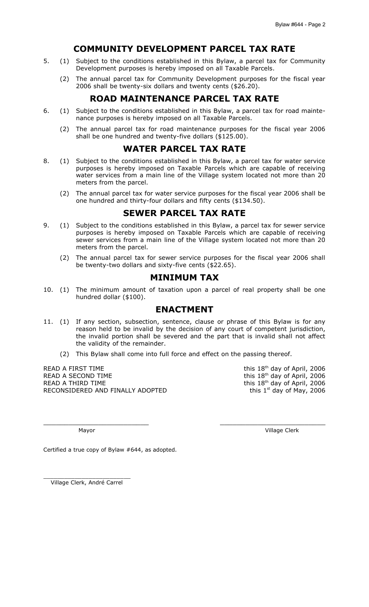### **COMMUNITY DEVELOPMENT PARCEL TAX RATE**

- 5. (1) Subject to the conditions established in this Bylaw, a parcel tax for Community Development purposes is hereby imposed on all Taxable Parcels.
	- (2) The annual parcel tax for Community Development purposes for the fiscal year 2006 shall be twenty-six dollars and twenty cents (\$26.20).

### **ROAD MAINTENANCE PARCEL TAX RATE**

- 6. (1) Subject to the conditions established in this Bylaw, a parcel tax for road maintenance purposes is hereby imposed on all Taxable Parcels.
	- (2) The annual parcel tax for road maintenance purposes for the fiscal year 2006 shall be one hundred and twenty-five dollars (\$125.00).

#### **WATER PARCEL TAX RATE**

- 8. (1) Subject to the conditions established in this Bylaw, a parcel tax for water service purposes is hereby imposed on Taxable Parcels which are capable of receiving water services from a main line of the Village system located not more than 20 meters from the parcel.
	- (2) The annual parcel tax for water service purposes for the fiscal year 2006 shall be one hundred and thirty-four dollars and fifty cents (\$134.50).

## **SEWER PARCEL TAX RATE**

- 9. (1) Subject to the conditions established in this Bylaw, a parcel tax for sewer service purposes is hereby imposed on Taxable Parcels which are capable of receiving sewer services from a main line of the Village system located not more than 20 meters from the parcel.
	- (2) The annual parcel tax for sewer service purposes for the fiscal year 2006 shall be twenty-two dollars and sixty-five cents (\$22.65).

## **MINIMUM TAX**

10. (1) The minimum amount of taxation upon a parcel of real property shall be one hundred dollar (\$100).

#### **ENACTMENT**

11. (1) If any section, subsection, sentence, clause or phrase of this Bylaw is for any reason held to be invalid by the decision of any court of competent jurisdiction, the invalid portion shall be severed and the part that is invalid shall not affect the validity of the remainder.

\_\_\_\_\_\_\_\_\_\_\_\_\_\_\_\_\_\_\_\_\_\_\_\_\_ \_\_\_\_\_\_\_\_\_\_\_\_\_\_\_\_\_\_\_\_\_\_\_\_\_

(2) This Bylaw shall come into full force and effect on the passing thereof.

READ A FIRST TIME READ A SECOND TIME READ A THIRD TIME RECONSIDERED AND FINALLY ADOPTED this 18<sup>th</sup> day of April, 2006 this 18<sup>th</sup> day of April, 2006 this 18<sup>th</sup> day of April, 2006 this  $1<sup>st</sup>$  day of May, 2006

Mayor Village Clerk

Certified a true copy of Bylaw #644, as adopted.

\_\_\_\_\_\_\_\_\_\_\_\_\_\_\_\_\_\_\_\_\_\_\_\_\_ Village Clerk, André Carrel